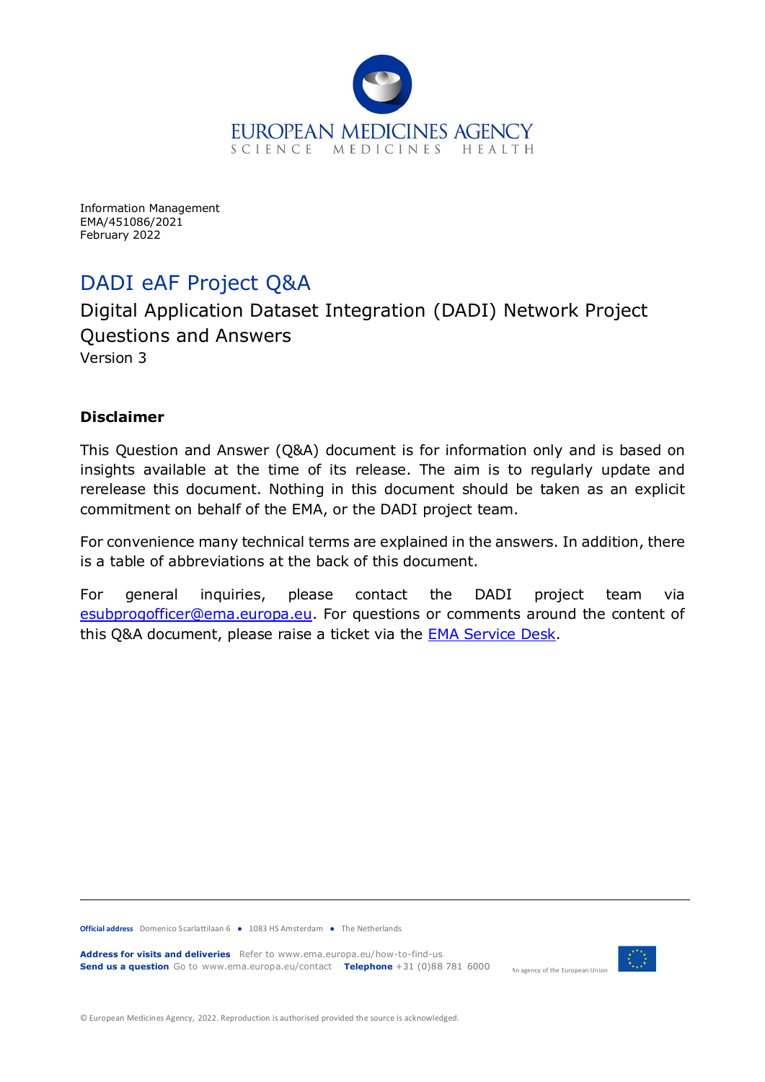

<span id="page-0-0"></span>Information Management EMA/451086/2021 February 2022

# DADI eAF Project Q&A

Digital Application Dataset Integration (DADI) Network Project Questions and Answers Version 3

#### **Disclaimer**

This Question and Answer (Q&A) document is for information only and is based on insights available at the time of its release. The aim is to regularly update and rerelease this document. Nothing in this document should be taken as an explicit commitment on behalf of the EMA, or the DADI project team.

For convenience many technical terms are explained in the answers. In addition, there is a table of abbreviations at the back of this document.

For general inquiries, please contact the DADI project team via [esubprogofficer@ema.europa.e](mailto:esubprogofficer@ema.europa.eu)u. For questions or comments around the content of this Q&A document, please raise a ticket via the [EMA Service Desk.](https://servicedesk.ema.europa.eu/)

**Official address** Domenico Scarlattilaan 6 **●** 1083 HS Amsterdam **●** The Netherlands

**Address for visits and deliveries** Refer to www.ema.europa.eu/how-to-find-us **Send us a question** Go to www.ema.europa.eu/contact **Telephone** +31 (0)88 781 6000



An agency of the European Union

© European Medicines Agency, 2022. Reproduction is authorised provided the source is acknowledged.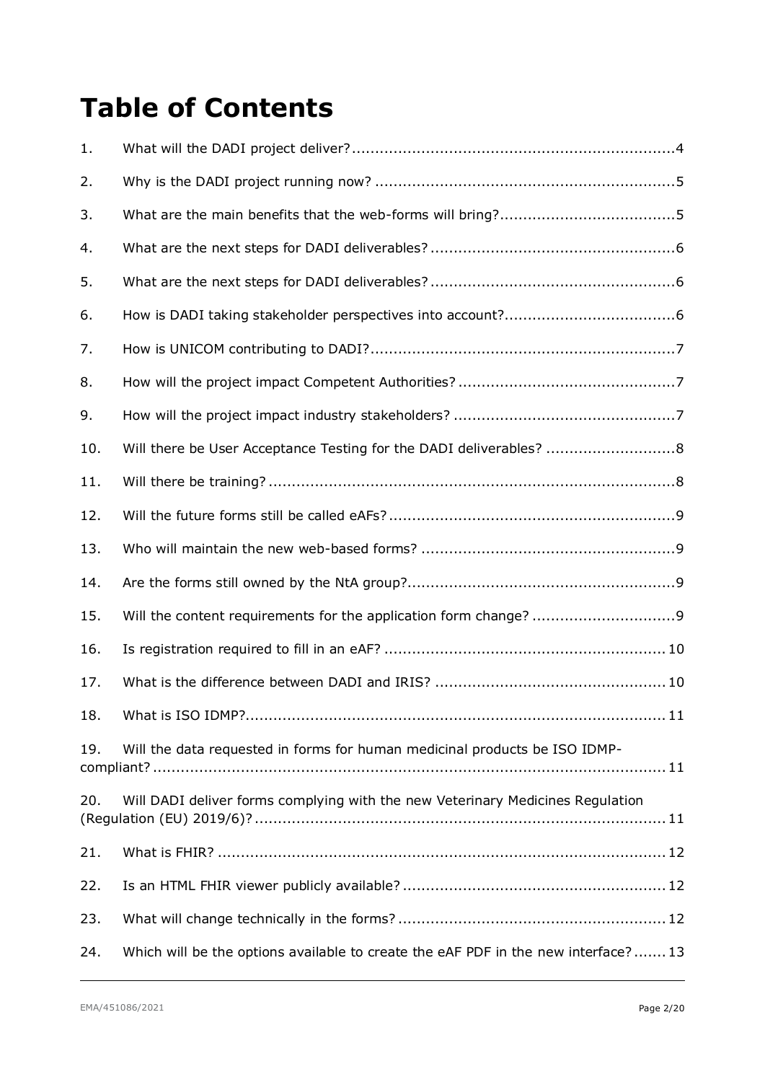# **Table of Contents**

| 1.  |                                                                                   |
|-----|-----------------------------------------------------------------------------------|
| 2.  |                                                                                   |
| 3.  |                                                                                   |
| 4.  |                                                                                   |
| 5.  |                                                                                   |
| 6.  |                                                                                   |
| 7.  |                                                                                   |
| 8.  |                                                                                   |
| 9.  |                                                                                   |
| 10. |                                                                                   |
| 11. |                                                                                   |
| 12. |                                                                                   |
| 13. |                                                                                   |
| 14. |                                                                                   |
| 15. |                                                                                   |
| 16. |                                                                                   |
| 17. |                                                                                   |
| 18. |                                                                                   |
| 19. | Will the data requested in forms for human medicinal products be ISO IDMP-        |
| 20. | Will DADI deliver forms complying with the new Veterinary Medicines Regulation    |
| 21. |                                                                                   |
| 22. |                                                                                   |
| 23. |                                                                                   |
| 24. | Which will be the options available to create the eAF PDF in the new interface?13 |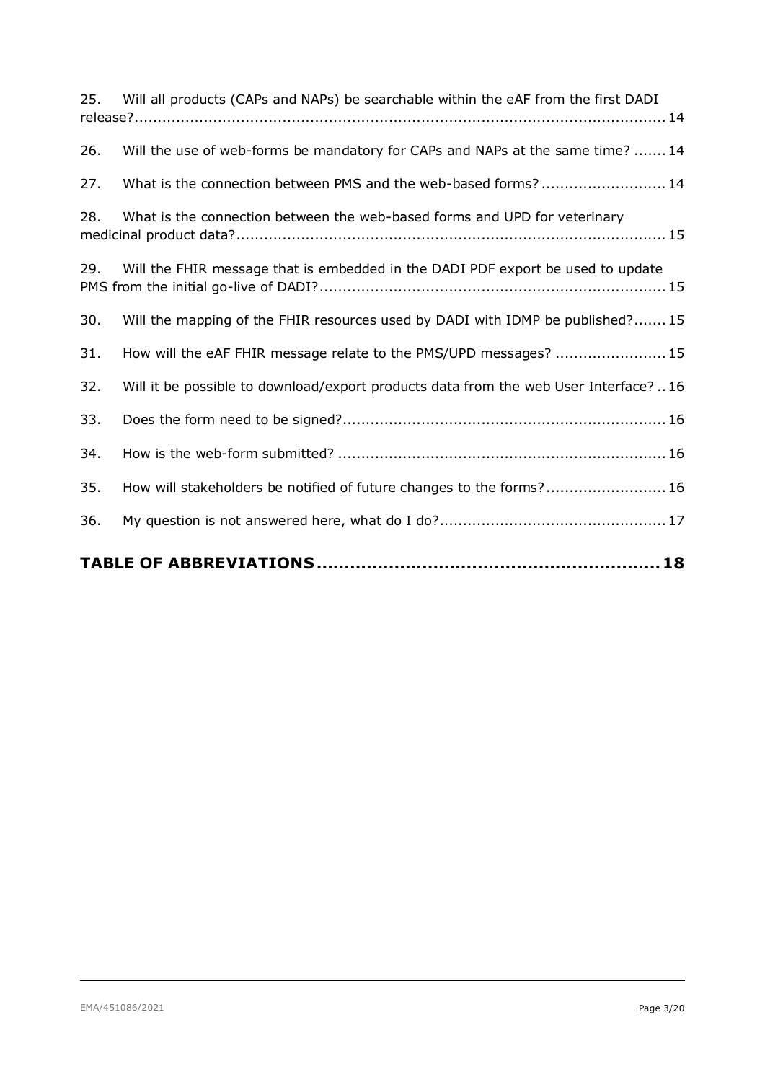| 25. | Will all products (CAPs and NAPs) be searchable within the eAF from the first DADI    |
|-----|---------------------------------------------------------------------------------------|
| 26. | Will the use of web-forms be mandatory for CAPs and NAPs at the same time? 14         |
| 27. | What is the connection between PMS and the web-based forms? 14                        |
| 28. | What is the connection between the web-based forms and UPD for veterinary             |
| 29. | Will the FHIR message that is embedded in the DADI PDF export be used to update       |
| 30. | Will the mapping of the FHIR resources used by DADI with IDMP be published?15         |
| 31. | How will the eAF FHIR message relate to the PMS/UPD messages?  15                     |
| 32. | Will it be possible to download/export products data from the web User Interface?  16 |
| 33. |                                                                                       |
| 34. |                                                                                       |
| 35. | How will stakeholders be notified of future changes to the forms? 16                  |
| 36. |                                                                                       |
|     |                                                                                       |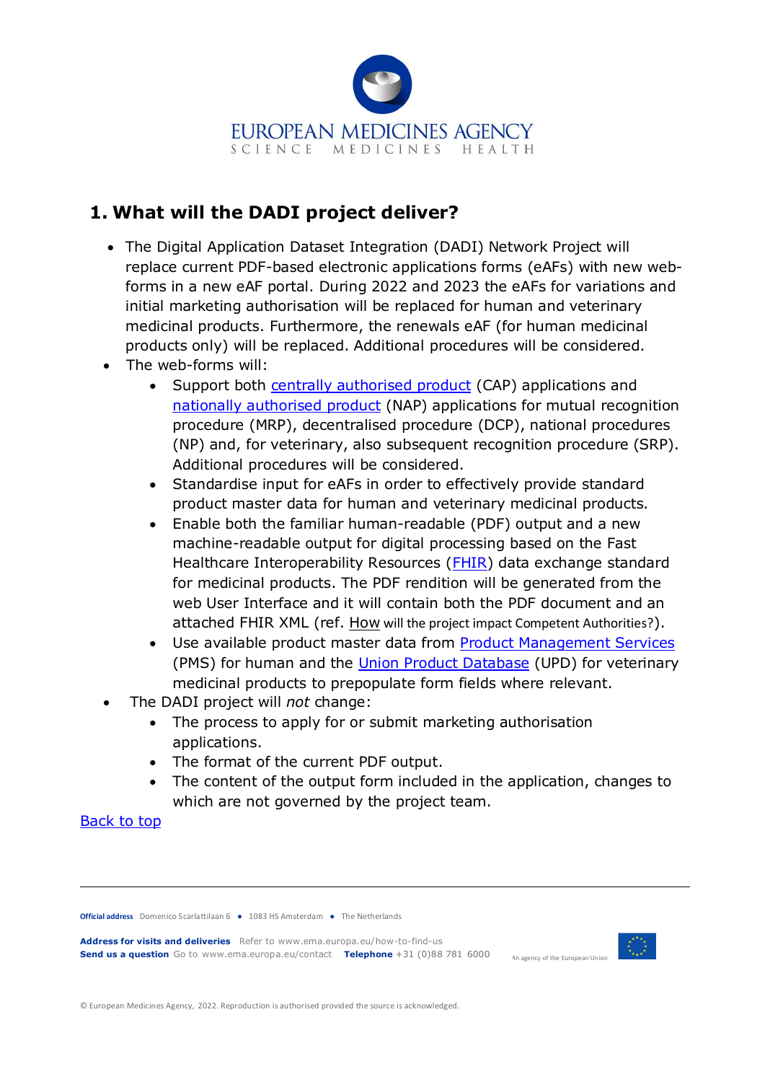

# <span id="page-3-0"></span>**1. What will the DADI project deliver?**

- The Digital Application Dataset Integration (DADI) Network Project will replace current PDF-based electronic applications forms (eAFs) with new webforms in a new eAF portal. During 2022 and 2023 the eAFs for variations and initial marketing authorisation will be replaced for human and veterinary medicinal products. Furthermore, the renewals eAF (for human medicinal products only) will be replaced. Additional procedures will be considered.
- The web-forms will:
	- Support both [centrally authorised product](https://www.ema.europa.eu/en/glossary/centrally-authorised-product) (CAP) applications and [nationally authorised product](https://www.ema.europa.eu/en/glossary/nationally-authorised-product) (NAP) applications for mutual recognition procedure (MRP), decentralised procedure (DCP), national procedures (NP) and, for veterinary, also subsequent recognition procedure (SRP). Additional procedures will be considered.
	- Standardise input for eAFs in order to effectively provide standard product master data for human and veterinary medicinal products.
	- Enable both the familiar human-readable (PDF) output and a new machine-readable output for digital processing based on the Fast Healthcare Interoperability Resources [\(FHIR\)](https://www.hl7.org/fhir/) data exchange standard for medicinal products. The PDF rendition will be generated from the web User Interface and it will contain both the PDF document and an attached FHIR XML (ref. How [will the project impact Competent Authorities?](#page-6-1)).
	- Use available product master data from [Product Management Services](https://www.ema.europa.eu/en/human-regulatory/research-development/data-medicines-iso-idmp-standards/spor-master-data/substance-product-data-management-services) (PMS) for human and the [Union Product Database](https://www.ema.europa.eu/en/veterinary-regulatory/overview/veterinary-medicines-regulation/union-product-database) (UPD) for veterinary medicinal products to prepopulate form fields where relevant.
- The DADI project will *not* change:
	- The process to apply for or submit marketing authorisation applications.
	- The format of the current PDF output.
	- The content of the output form included in the application, changes to which are not governed by the project team.

#### [Back to top](#page-0-0)

**Official address** Domenico Scarlattilaan 6 **●** 1083 HS Amsterdam **●** The Netherlands

**Address for visits and deliveries** Refer to www.ema.europa.eu/how-to-find-us **Send us a question** Go to www.ema.europa.eu/contact **Telephone** +31 (0)88 781 6000



An agency of the European Union

© European Medicines Agency, 2022. Reproduction is authorised provided the source is acknowledged.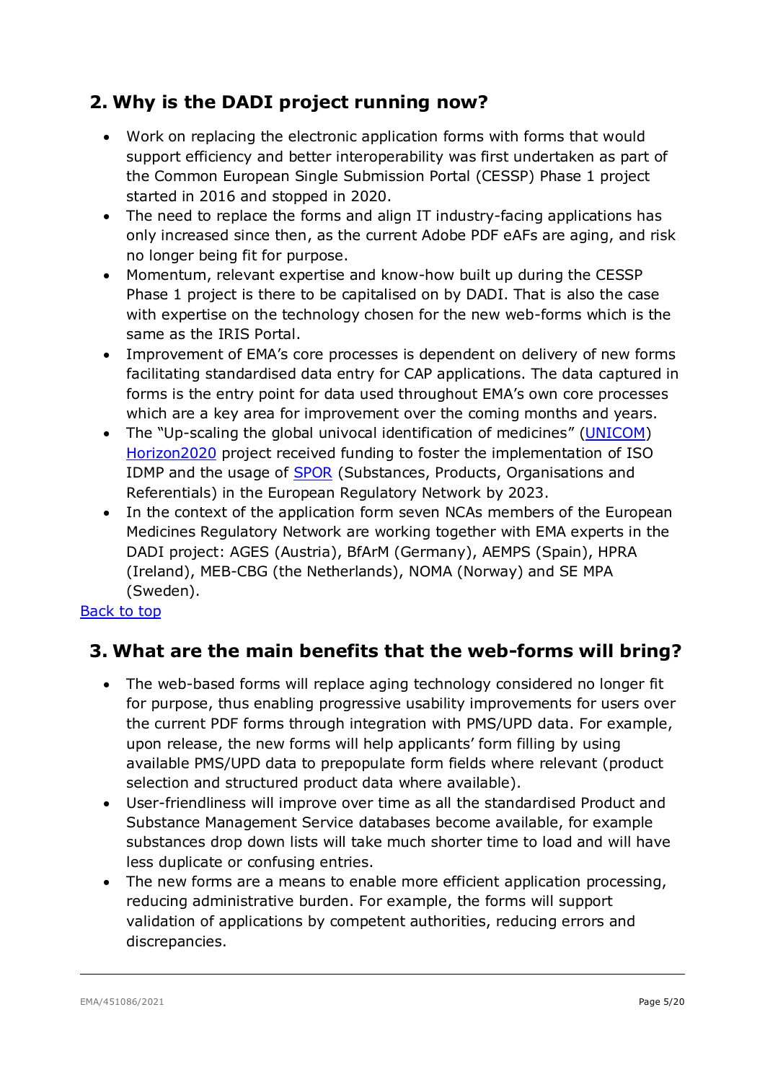# <span id="page-4-0"></span>**2. Why is the DADI project running now?**

- Work on replacing the electronic application forms with forms that would support efficiency and better interoperability was first undertaken as part of the Common European Single Submission Portal (CESSP) Phase 1 project started in 2016 and stopped in 2020.
- The need to replace the forms and align IT industry-facing applications has only increased since then, as the current Adobe PDF eAFs are aging, and risk no longer being fit for purpose.
- Momentum, relevant expertise and know-how built up during the CESSP Phase 1 project is there to be capitalised on by DADI. That is also the case with expertise on the technology chosen for the new web-forms which is the same as the IRIS Portal.
- Improvement of EMA's core processes is dependent on delivery of new forms facilitating standardised data entry for CAP applications. The data captured in forms is the entry point for data used throughout EMA's own core processes which are a key area for improvement over the coming months and years.
- The "Up-scaling the global univocal identification of medicines" [\(UNICOM\)](https://unicom-project.eu/about/) [Horizon2020](https://ec.europa.eu/programmes/horizon2020/en/home) project received funding to foster the implementation of ISO IDMP and the usage of **SPOR** (Substances, Products, Organisations and Referentials) in the European Regulatory Network by 2023.
- In the context of the application form seven NCAs members of the European Medicines Regulatory Network are working together with EMA experts in the DADI project: AGES (Austria), BfArM (Germany), AEMPS (Spain), HPRA (Ireland), MEB-CBG (the Netherlands), NOMA (Norway) and SE MPA (Sweden).

#### <span id="page-4-1"></span>[Back to top](#page-0-0)

# **3. What are the main benefits that the web-forms will bring?**

- The web-based forms will replace aging technology considered no longer fit for purpose, thus enabling progressive usability improvements for users over the current PDF forms through integration with PMS/UPD data. For example, upon release, the new forms will help applicants' form filling by using available PMS/UPD data to prepopulate form fields where relevant (product selection and structured product data where available).
- User-friendliness will improve over time as all the standardised Product and Substance Management Service databases become available, for example substances drop down lists will take much shorter time to load and will have less duplicate or confusing entries.
- The new forms are a means to enable more efficient application processing, reducing administrative burden. For example, the forms will support validation of applications by competent authorities, reducing errors and discrepancies.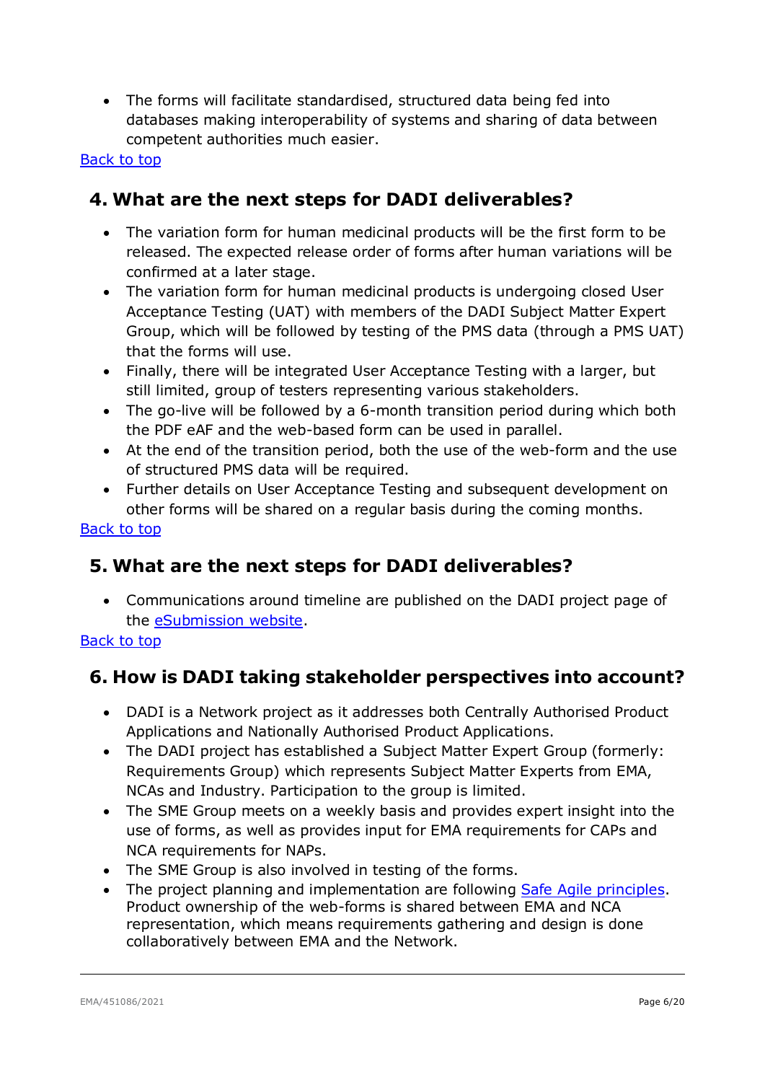• The forms will facilitate standardised, structured data being fed into databases making interoperability of systems and sharing of data between competent authorities much easier.

#### <span id="page-5-0"></span>[Back to top](#page-0-0)

# **4. What are the next steps for DADI deliverables?**

- The variation form for human medicinal products will be the first form to be released. The expected release order of forms after human variations will be confirmed at a later stage.
- The variation form for human medicinal products is undergoing closed User Acceptance Testing (UAT) with members of the DADI Subject Matter Expert Group, which will be followed by testing of the PMS data (through a PMS UAT) that the forms will use.
- Finally, there will be integrated User Acceptance Testing with a larger, but still limited, group of testers representing various stakeholders.
- The go-live will be followed by a 6-month transition period during which both the PDF eAF and the web-based form can be used in parallel.
- At the end of the transition period, both the use of the web-form and the use of structured PMS data will be required.
- Further details on User Acceptance Testing and subsequent development on other forms will be shared on a regular basis during the coming months.

#### [Back to top](#page-0-0)

### <span id="page-5-1"></span>**5. What are the next steps for DADI deliverables?**

• Communications around timeline are published on the DADI project page of the [eSubmission website.](http://esubmission.ema.europa.eu/cessp/cessp.htm)

#### <span id="page-5-2"></span>[Back to top](#page-0-0)

# **6. How is DADI taking stakeholder perspectives into account?**

- DADI is a Network project as it addresses both Centrally Authorised Product Applications and Nationally Authorised Product Applications.
- The DADI project has established a Subject Matter Expert Group (formerly: Requirements Group) which represents Subject Matter Experts from EMA, NCAs and Industry. Participation to the group is limited.
- The SME Group meets on a weekly basis and provides expert insight into the use of forms, as well as provides input for EMA requirements for CAPs and NCA requirements for NAPs.
- The SME Group is also involved in testing of the forms.
- The project planning and implementation are following [Safe Agile principles.](https://www.ema.europa.eu/en/about-us/how-we-work/information-management/network-portfolio) Product ownership of the web-forms is shared between EMA and NCA representation, which means requirements gathering and design is done collaboratively between EMA and the Network.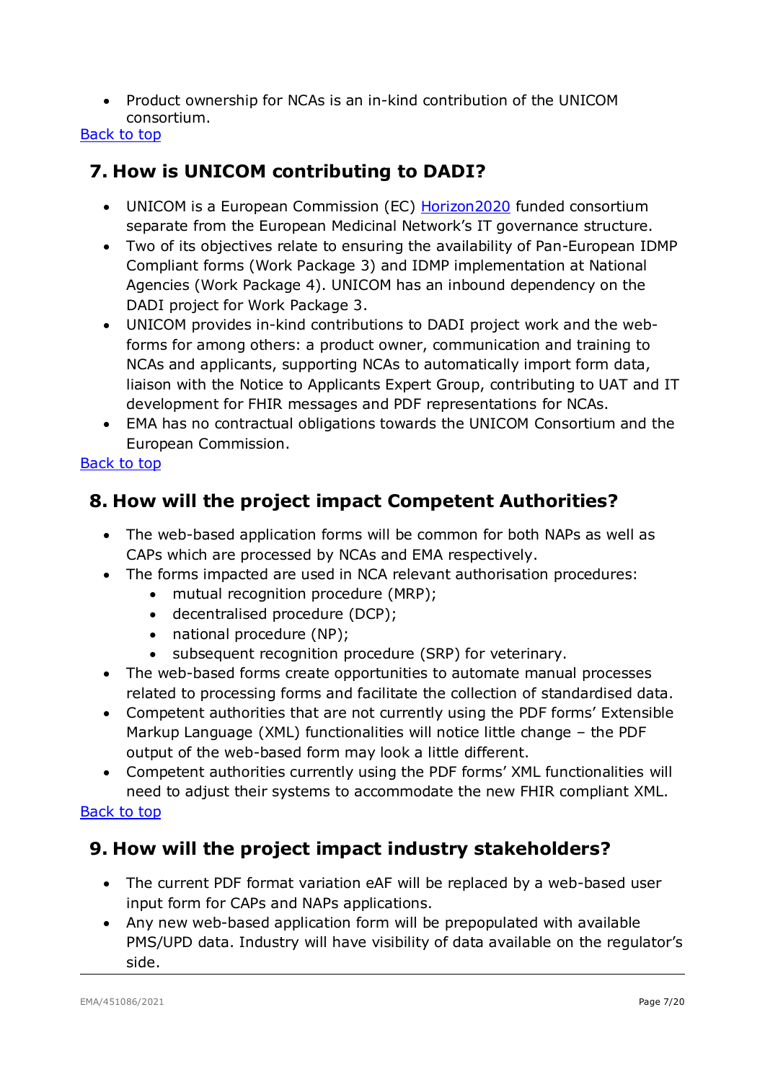• Product ownership for NCAs is an in-kind contribution of the UNICOM consortium.

#### [Back to top](#page-0-0)

# <span id="page-6-0"></span>**7. How is UNICOM contributing to DADI?**

- UNICOM is a European Commission (EC) [Horizon2020](https://ec.europa.eu/programmes/horizon2020/en/home) funded consortium separate from the European Medicinal Network's IT governance structure.
- Two of its objectives relate to ensuring the availability of Pan-European IDMP Compliant forms (Work Package 3) and IDMP implementation at National Agencies (Work Package 4). UNICOM has an inbound dependency on the DADI project for Work Package 3.
- UNICOM provides in-kind contributions to DADI project work and the webforms for among others: a product owner, communication and training to NCAs and applicants, supporting NCAs to automatically import form data, liaison with the Notice to Applicants Expert Group, contributing to UAT and IT development for FHIR messages and PDF representations for NCAs.
- EMA has no contractual obligations towards the UNICOM Consortium and the European Commission.

#### [Back to top](#page-0-0)

# <span id="page-6-1"></span>**8. How will the project impact Competent Authorities?**

- The web-based application forms will be common for both NAPs as well as CAPs which are processed by NCAs and EMA respectively.
- The forms impacted are used in NCA relevant authorisation procedures:
	- mutual recognition procedure (MRP);
	- decentralised procedure (DCP);
	- national procedure (NP);
	- subsequent recognition procedure (SRP) for veterinary.
- The web-based forms create opportunities to automate manual processes related to processing forms and facilitate the collection of standardised data.
- Competent authorities that are not currently using the PDF forms' Extensible Markup Language (XML) functionalities will notice little change – the PDF output of the web-based form may look a little different.
- Competent authorities currently using the PDF forms' XML functionalities will need to adjust their systems to accommodate the new FHIR compliant XML.

#### <span id="page-6-2"></span>[Back to top](#page-0-0)

# **9. How will the project impact industry stakeholders?**

- The current PDF format variation eAF will be replaced by a web-based user input form for CAPs and NAPs applications.
- Any new web-based application form will be prepopulated with available PMS/UPD data. Industry will have visibility of data available on the regulator's side.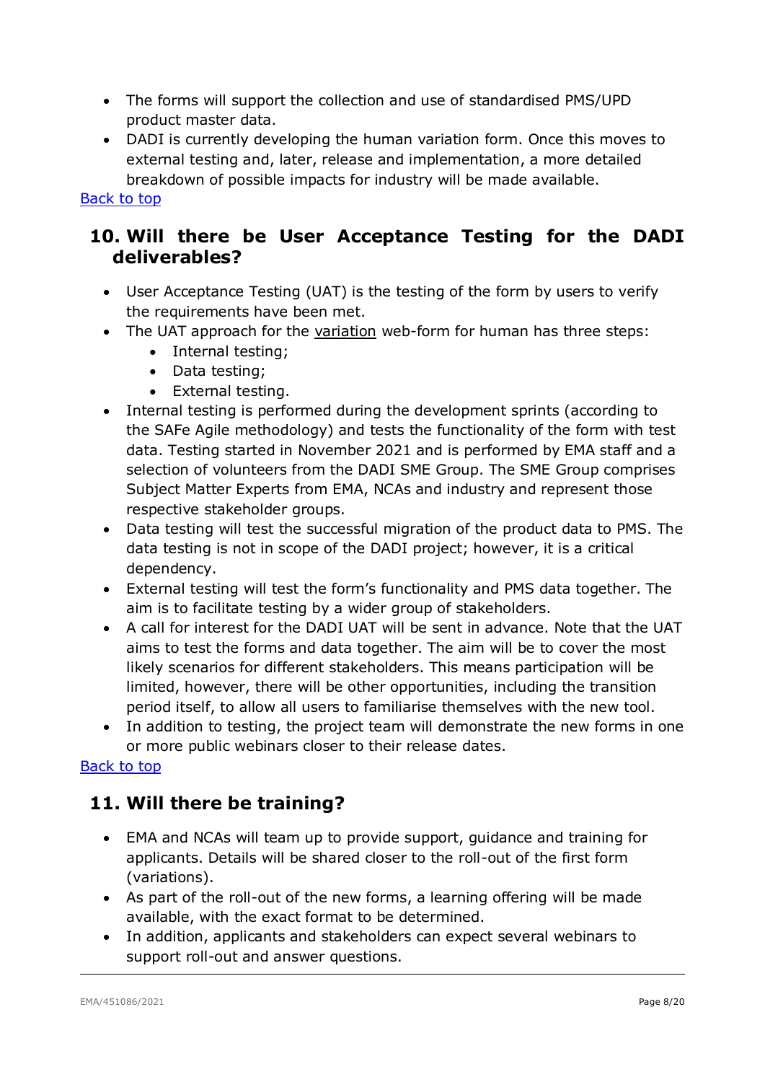- The forms will support the collection and use of standardised PMS/UPD product master data.
- DADI is currently developing the human variation form. Once this moves to external testing and, later, release and implementation, a more detailed breakdown of possible impacts for industry will be made available.

### <span id="page-7-0"></span>**10. Will there be User Acceptance Testing for the DADI deliverables?**

- User Acceptance Testing (UAT) is the testing of the form by users to verify the requirements have been met.
- The UAT approach for the variation web-form for human has three steps:
	- Internal testing;
	- Data testing;
	- External testing.
- Internal testing is performed during the development sprints (according to the SAFe Agile methodology) and tests the functionality of the form with test data. Testing started in November 2021 and is performed by EMA staff and a selection of volunteers from the DADI SME Group. The SME Group comprises Subject Matter Experts from EMA, NCAs and industry and represent those respective stakeholder groups.
- Data testing will test the successful migration of the product data to PMS. The data testing is not in scope of the DADI project; however, it is a critical dependency.
- External testing will test the form's functionality and PMS data together. The aim is to facilitate testing by a wider group of stakeholders.
- A call for interest for the DADI UAT will be sent in advance. Note that the UAT aims to test the forms and data together. The aim will be to cover the most likely scenarios for different stakeholders. This means participation will be limited, however, there will be other opportunities, including the transition period itself, to allow all users to familiarise themselves with the new tool.
- In addition to testing, the project team will demonstrate the new forms in one or more public webinars closer to their release dates.

#### <span id="page-7-1"></span>[Back to top](#page-0-0)

### **11. Will there be training?**

- EMA and NCAs will team up to provide support, guidance and training for applicants. Details will be shared closer to the roll-out of the first form (variations).
- As part of the roll-out of the new forms, a learning offering will be made available, with the exact format to be determined.
- In addition, applicants and stakeholders can expect several webinars to support roll-out and answer questions.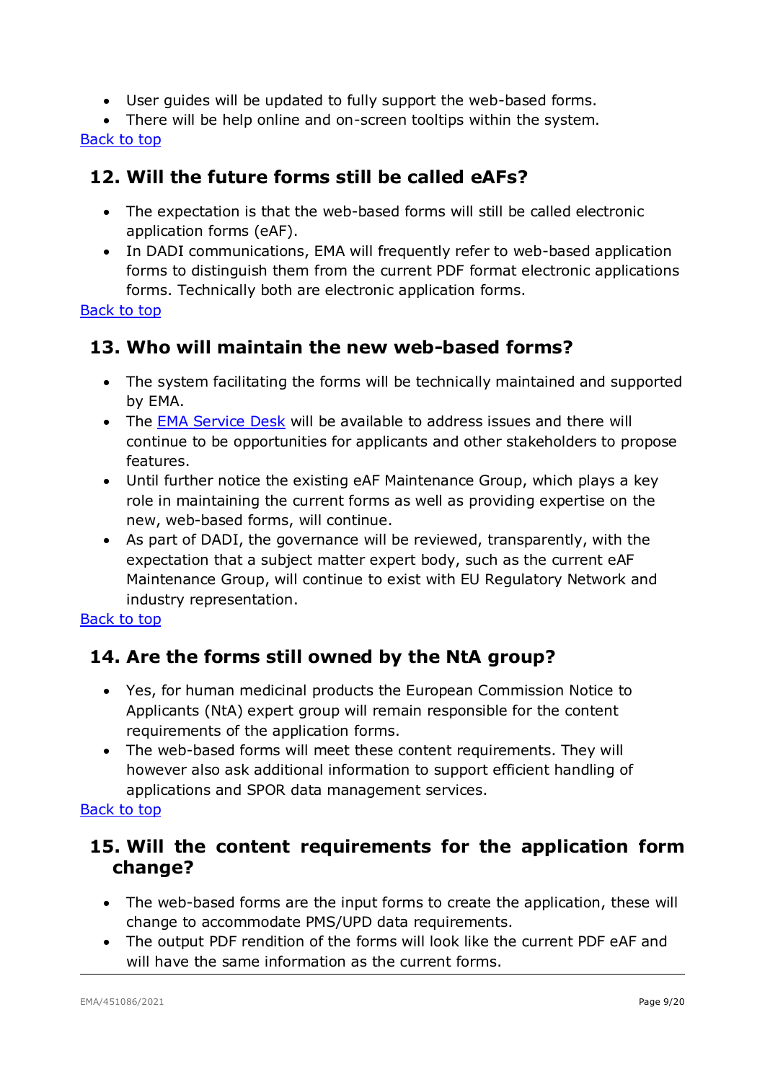- User guides will be updated to fully support the web-based forms.
- There will be help online and on-screen tooltips within the system.

### <span id="page-8-0"></span>**12. Will the future forms still be called eAFs?**

- The expectation is that the web-based forms will still be called electronic application forms (eAF).
- In DADI communications, EMA will frequently refer to web-based application forms to distinguish them from the current PDF format electronic applications forms. Technically both are electronic application forms.

[Back to top](#page-0-0)

# <span id="page-8-1"></span>**13. Who will maintain the new web-based forms?**

- The system facilitating the forms will be technically maintained and supported by EMA.
- The [EMA Service Desk](https://servicedesk.ema.europa.eu/jira/servicedesk/customer/portals) will be available to address issues and there will continue to be opportunities for applicants and other stakeholders to propose features.
- Until further notice the existing eAF Maintenance Group, which plays a key role in maintaining the current forms as well as providing expertise on the new, web-based forms, will continue.
- As part of DADI, the governance will be reviewed, transparently, with the expectation that a subject matter expert body, such as the current eAF Maintenance Group, will continue to exist with EU Regulatory Network and industry representation.

#### [Back to top](#page-0-0)

# <span id="page-8-2"></span>**14. Are the forms still owned by the NtA group?**

- Yes, for human medicinal products the European Commission Notice to Applicants (NtA) expert group will remain responsible for the content requirements of the application forms.
- The web-based forms will meet these content requirements. They will however also ask additional information to support efficient handling of applications and SPOR data management services.

#### [Back to top](#page-0-0)

### <span id="page-8-3"></span>**15. Will the content requirements for the application form change?**

- The web-based forms are the input forms to create the application, these will change to accommodate PMS/UPD data requirements.
- The output PDF rendition of the forms will look like the current PDF eAF and will have the same information as the current forms.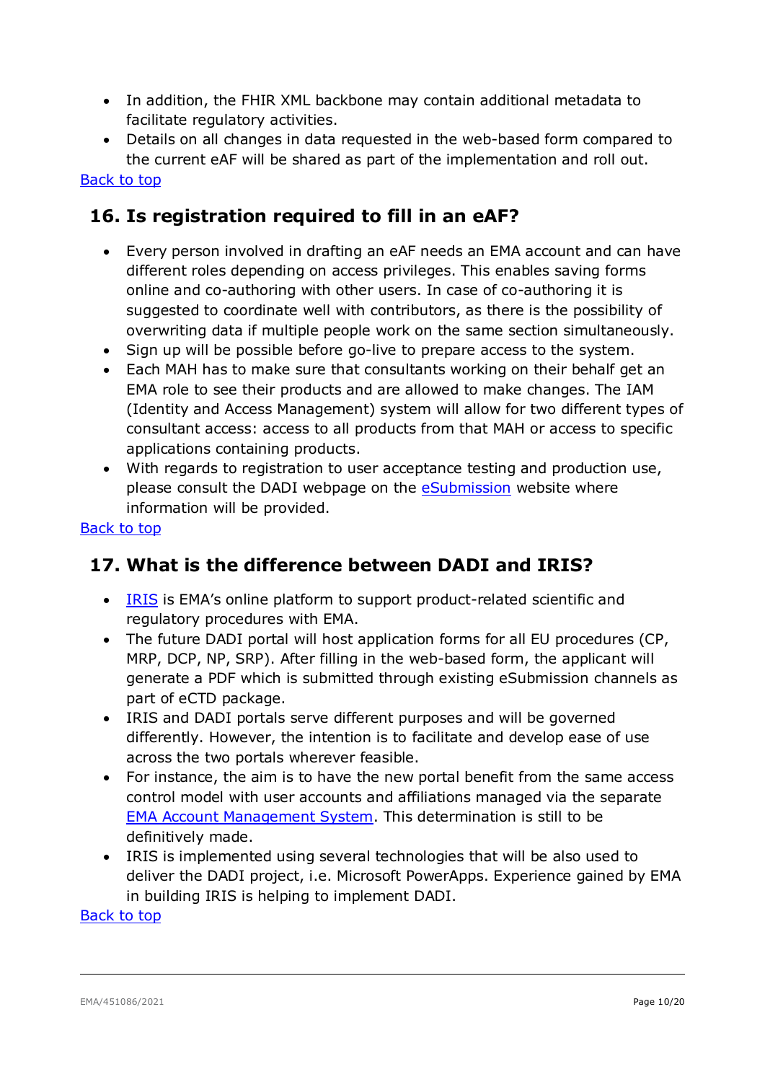- In addition, the FHIR XML backbone may contain additional metadata to facilitate regulatory activities.
- Details on all changes in data requested in the web-based form compared to the current eAF will be shared as part of the implementation and roll out.

### <span id="page-9-0"></span>**16. Is registration required to fill in an eAF?**

- Every person involved in drafting an eAF needs an EMA account and can have different roles depending on access privileges. This enables saving forms online and co-authoring with other users. In case of co-authoring it is suggested to coordinate well with contributors, as there is the possibility of overwriting data if multiple people work on the same section simultaneously.
- Sign up will be possible before go-live to prepare access to the system.
- Each MAH has to make sure that consultants working on their behalf get an EMA role to see their products and are allowed to make changes. The IAM (Identity and Access Management) system will allow for two different types of consultant access: access to all products from that MAH or access to specific applications containing products.
- With regards to registration to user acceptance testing and production use, please consult the DADI webpage on the **eSubmission** website where information will be provided.

#### [Back to top](#page-0-0)

### <span id="page-9-1"></span>**17. What is the difference between DADI and IRIS?**

- [IRIS](https://iris.ema.europa.eu/) is EMA's online platform to support product-related scientific and regulatory procedures with EMA.
- The future DADI portal will host application forms for all EU procedures (CP, MRP, DCP, NP, SRP). After filling in the web-based form, the applicant will generate a PDF which is submitted through existing eSubmission channels as part of eCTD package.
- IRIS and DADI portals serve different purposes and will be governed differently. However, the intention is to facilitate and develop ease of use across the two portals wherever feasible.
- For instance, the aim is to have the new portal benefit from the same access control model with user accounts and affiliations managed via the separate [EMA Account Management System.](https://register.ema.europa.eu/) This determination is still to be definitively made.
- IRIS is implemented using several technologies that will be also used to deliver the DADI project, i.e. Microsoft PowerApps. Experience gained by EMA in building IRIS is helping to implement DADI.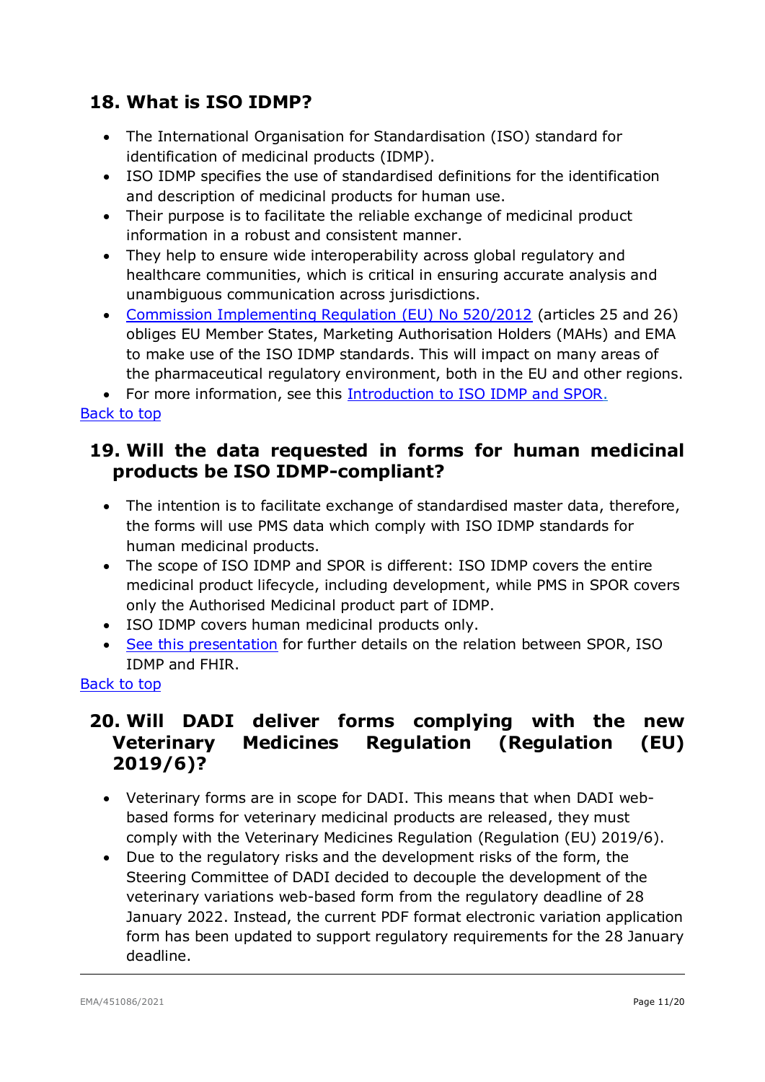# <span id="page-10-0"></span>**18. What is ISO IDMP?**

- The International Organisation for Standardisation (ISO) standard for identification of medicinal products (IDMP).
- ISO IDMP specifies the use of standardised definitions for the identification and description of medicinal products for human use.
- Their purpose is to facilitate the reliable exchange of medicinal product information in a robust and consistent manner.
- They help to ensure wide interoperability across global regulatory and healthcare communities, which is critical in ensuring accurate analysis and unambiguous communication across jurisdictions.
- [Commission Implementing Regulation \(EU\) No 520/2012](http://eur-lex.europa.eu/LexUriServ/LexUriServ.do?uri=OJ:L:2012:159:0005:0025:EN:PDF) (articles 25 and 26) obliges EU Member States, Marketing Authorisation Holders (MAHs) and EMA to make use of the ISO IDMP standards. This will impact on many areas of the pharmaceutical regulatory environment, both in the EU and other regions.

• For more information, see this **[Introduction to ISO IDMP](https://www.ema.europa.eu/documents/other/introduction-iso-identification-medicinal-products-spor-programme_en.pdf) and SPOR.** 

#### [Back to top](#page-0-0)

### <span id="page-10-1"></span>**19. Will the data requested in forms for human medicinal products be ISO IDMP-compliant?**

- The intention is to facilitate exchange of standardised master data, therefore, the forms will use PMS data which comply with ISO IDMP standards for human medicinal products.
- The scope of ISO IDMP and SPOR is different: ISO IDMP covers the entire medicinal product lifecycle, including development, while PMS in SPOR covers only the Authorised Medicinal product part of IDMP.
- ISO IDMP covers human medicinal products only.
- [See this presentation](https://www.ema.europa.eu/en/documents/presentation/presentation-pms/iso/idmp/fhir_en.pdf) for further details on the relation between SPOR, ISO IDMP and FHIR.

#### <span id="page-10-2"></span>[Back to top](#page-0-0)

# **20. Will DADI deliver forms complying with the new Veterinary Medicines Regulation (Regulation (EU) 2019/6)?**

- Veterinary forms are in scope for DADI. This means that when DADI webbased forms for veterinary medicinal products are released, they must comply with the Veterinary Medicines Regulation (Regulation (EU) 2019/6).
- Due to the regulatory risks and the development risks of the form, the Steering Committee of DADI decided to decouple the development of the veterinary variations web-based form from the regulatory deadline of 28 January 2022. Instead, the current PDF format electronic variation application form has been updated to support regulatory requirements for the 28 January deadline.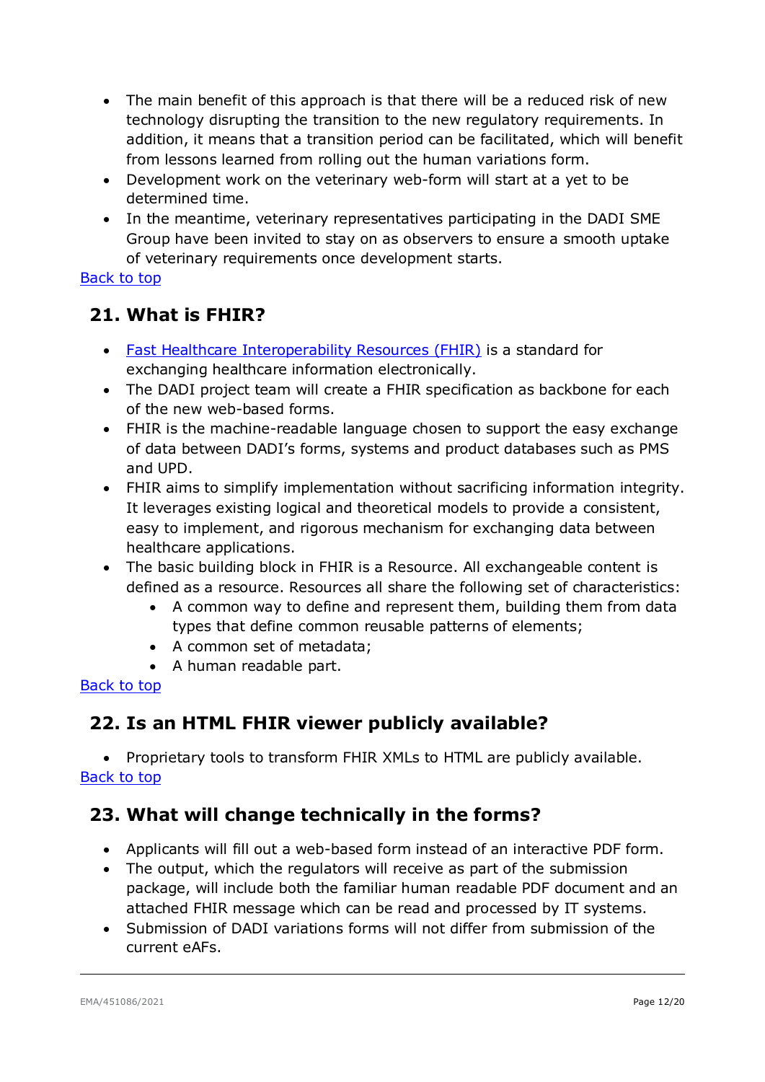- The main benefit of this approach is that there will be a reduced risk of new technology disrupting the transition to the new regulatory requirements. In addition, it means that a transition period can be facilitated, which will benefit from lessons learned from rolling out the human variations form.
- Development work on the veterinary web-form will start at a yet to be determined time.
- In the meantime, veterinary representatives participating in the DADI SME Group have been invited to stay on as observers to ensure a smooth uptake of veterinary requirements once development starts.

# <span id="page-11-0"></span>**21. What is FHIR?**

- [Fast Healthcare Interoperability Resources \(FHIR\)](https://www.hl7.org/fhir/overview.html) is a standard for exchanging healthcare information electronically.
- The DADI project team will create a FHIR specification as backbone for each of the new web-based forms.
- FHIR is the machine-readable language chosen to support the easy exchange of data between DADI's forms, systems and product databases such as PMS and UPD.
- FHIR aims to simplify implementation without sacrificing information integrity. It leverages existing logical and theoretical models to provide a consistent, easy to implement, and rigorous mechanism for exchanging data between healthcare applications.
- The basic building block in FHIR is a Resource. All exchangeable content is defined as a resource. Resources all share the following set of characteristics:
	- A common way to define and represent them, building them from data types that define common reusable patterns of elements;
	- A common set of metadata;
	- A human readable part.

#### [Back to top](#page-0-0)

# <span id="page-11-1"></span>**22. Is an HTML FHIR viewer publicly available?**

• Proprietary tools to transform FHIR XMLs to HTML are publicly available. [Back to top](#page-0-0)

# <span id="page-11-2"></span>**23. What will change technically in the forms?**

- Applicants will fill out a web-based form instead of an interactive PDF form.
- The output, which the regulators will receive as part of the submission package, will include both the familiar human readable PDF document and an attached FHIR message which can be read and processed by IT systems.
- Submission of DADI variations forms will not differ from submission of the current eAFs.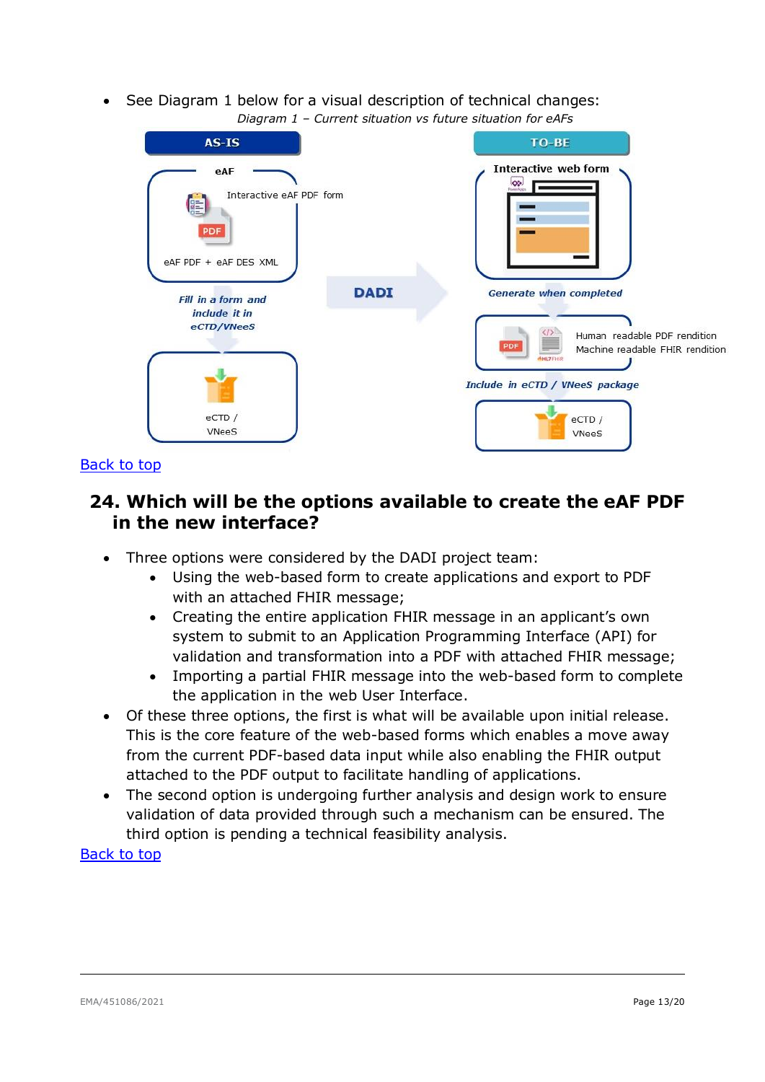• See Diagram 1 below for a visual description of technical changes: *Diagram 1 – Current situation vs future situation for eAFs*

| $AS-IS$<br>eAF<br>Interactive eAF PDF form<br>信<br><b>PDF</b><br>eAF PDF + eAF DES XML | TO-BE<br>Interactive web form<br>$\bullet$                                                                                                                               |
|----------------------------------------------------------------------------------------|--------------------------------------------------------------------------------------------------------------------------------------------------------------------------|
| <b>DADI</b><br>Fill in a form and<br>include it in<br>eCTD/VNeeS<br>eCTD /<br>VNeeS    | <b>Generate when completed</b><br>Human readable PDF rendition<br>PDF<br>Machine readable FHIR rendition<br>HLZFHR<br>Include in eCTD / VNeeS package<br>eCTD /<br>VNeeS |

#### <span id="page-12-0"></span>[Back to top](#page-0-0)

### **24. Which will be the options available to create the eAF PDF in the new interface?**

- Three options were considered by the DADI project team:
	- Using the web-based form to create applications and export to PDF with an attached FHIR message;
	- Creating the entire application FHIR message in an applicant's own system to submit to an Application Programming Interface (API) for validation and transformation into a PDF with attached FHIR message;
	- Importing a partial FHIR message into the web-based form to complete the application in the web User Interface.
- Of these three options, the first is what will be available upon initial release. This is the core feature of the web-based forms which enables a move away from the current PDF-based data input while also enabling the FHIR output attached to the PDF output to facilitate handling of applications.
- The second option is undergoing further analysis and design work to ensure validation of data provided through such a mechanism can be ensured. The third option is pending a technical feasibility analysis.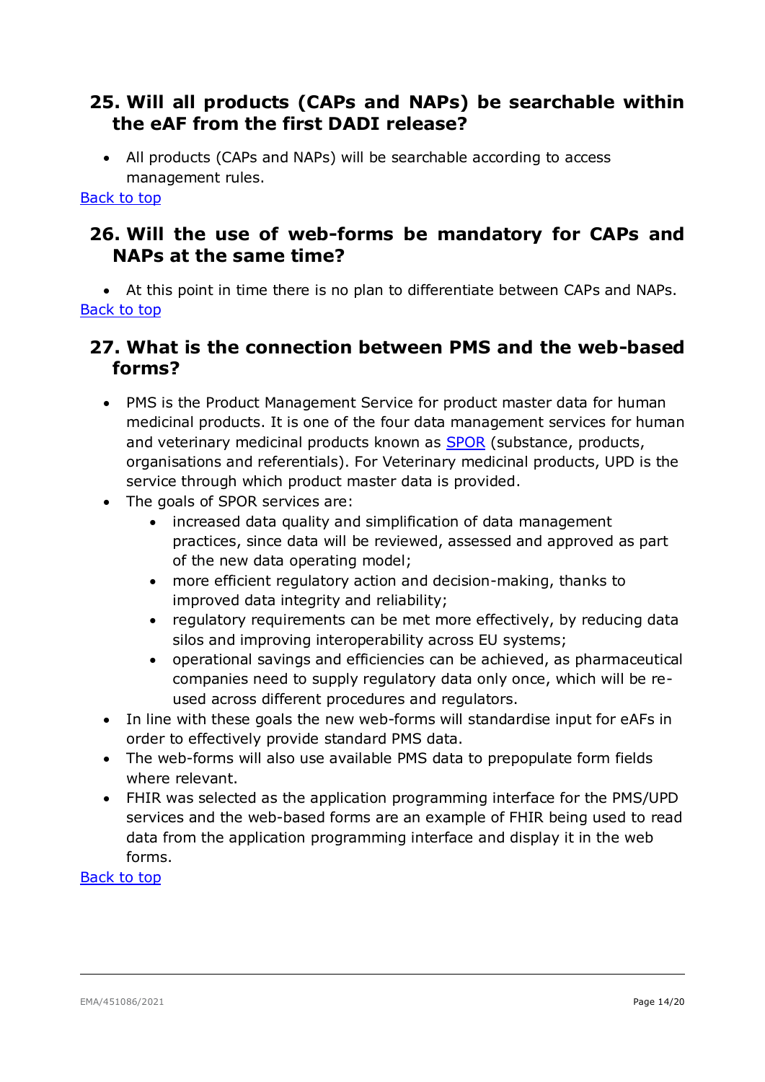### <span id="page-13-0"></span>**25. Will all products (CAPs and NAPs) be searchable within the eAF from the first DADI release?**

• All products (CAPs and NAPs) will be searchable according to access management rules.

#### [Back to top](#page-0-0)

### <span id="page-13-1"></span>**26. Will the use of web-forms be mandatory for CAPs and NAPs at the same time?**

• At this point in time there is no plan to differentiate between CAPs and NAPs. [Back to top](#page-0-0)

# <span id="page-13-2"></span>**27. What is the connection between PMS and the web-based forms?**

- PMS is the Product Management Service for product master data for human medicinal products. It is one of the four data management services for human and veterinary medicinal products known as [SPOR](https://www.ema.europa.eu/en/human-regulatory/research-development/data-medicines-iso-idmp-standards/substance-product-organisation-referential-spor-master-data) (substance, products, organisations and referentials). For Veterinary medicinal products, UPD is the service through which product master data is provided.
- The goals of SPOR services are:
	- increased data quality and simplification of data management practices, since data will be reviewed, assessed and approved as part of the new data operating model;
	- more efficient regulatory action and decision-making, thanks to improved data integrity and reliability;
	- regulatory requirements can be met more effectively, by reducing data silos and improving interoperability across EU systems;
	- operational savings and efficiencies can be achieved, as pharmaceutical companies need to supply regulatory data only once, which will be reused across different procedures and regulators.
- In line with these goals the new web-forms will standardise input for eAFs in order to effectively provide standard PMS data.
- The web-forms will also use available PMS data to prepopulate form fields where relevant.
- FHIR was selected as the application programming interface for the PMS/UPD services and the web-based forms are an example of FHIR being used to read data from the application programming interface and display it in the web forms.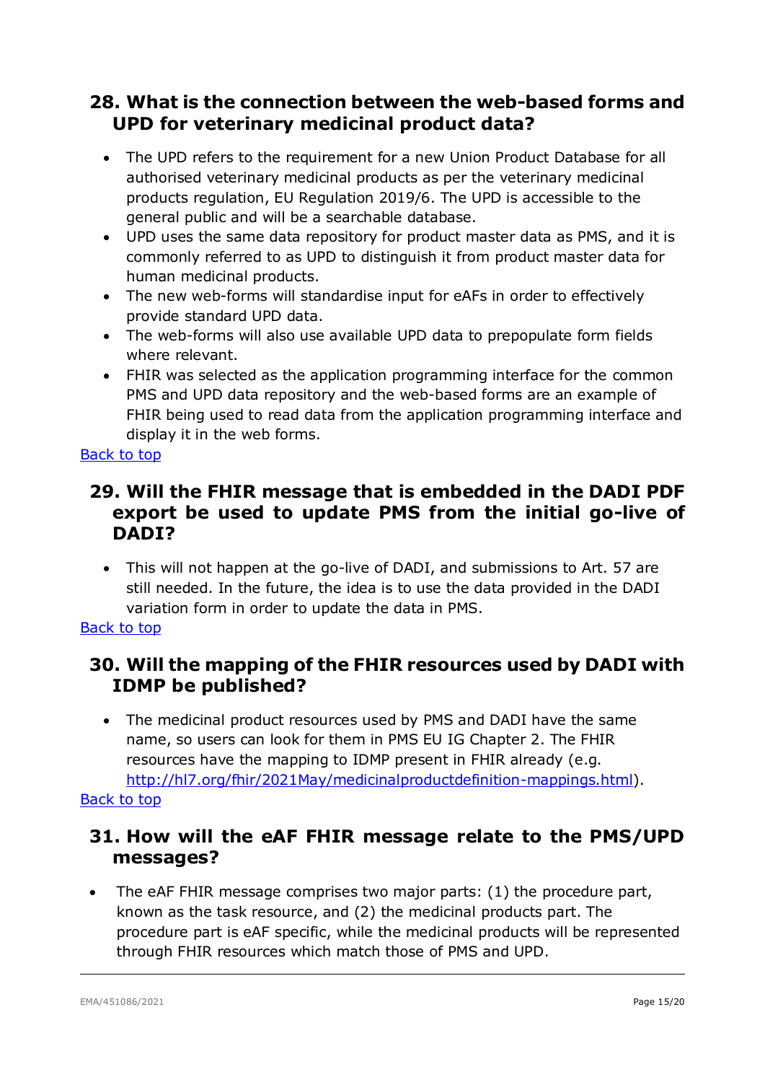### <span id="page-14-0"></span>**28. What is the connection between the web-based forms and UPD for veterinary medicinal product data?**

- The UPD refers to the requirement for a new Union Product Database for all authorised veterinary medicinal products as per the veterinary medicinal products regulation, EU Regulation 2019/6. The UPD is accessible to the general public and will be a searchable database.
- UPD uses the same data repository for product master data as PMS, and it is commonly referred to as UPD to distinguish it from product master data for human medicinal products.
- The new web-forms will standardise input for eAFs in order to effectively provide standard UPD data.
- The web-forms will also use available UPD data to prepopulate form fields where relevant.
- FHIR was selected as the application programming interface for the common PMS and UPD data repository and the web-based forms are an example of FHIR being used to read data from the application programming interface and display it in the web forms.

#### [Back to top](#page-0-0)

# <span id="page-14-1"></span>**29. Will the FHIR message that is embedded in the DADI PDF export be used to update PMS from the initial go-live of DADI?**

• This will not happen at the go-live of DADI, and submissions to Art. 57 are still needed. In the future, the idea is to use the data provided in the DADI variation form in order to update the data in PMS.

#### [Back to top](#page-0-0)

# <span id="page-14-2"></span>**30. Will the mapping of the FHIR resources used by DADI with IDMP be published?**

• The medicinal product resources used by PMS and DADI have the same name, so users can look for them in PMS EU IG Chapter 2. The FHIR resources have the mapping to IDMP present in FHIR already (e.g. [http://hl7.org/fhir/2021May/medicinalproductdefinition-mappings.html\)](http://hl7.org/fhir/2021May/medicinalproductdefinition-mappings.html).

#### <span id="page-14-3"></span>[Back to top](#page-0-0)

# **31. How will the eAF FHIR message relate to the PMS/UPD messages?**

• The eAF FHIR message comprises two major parts: (1) the procedure part, known as the task resource, and (2) the medicinal products part. The procedure part is eAF specific, while the medicinal products will be represented through FHIR resources which match those of PMS and UPD.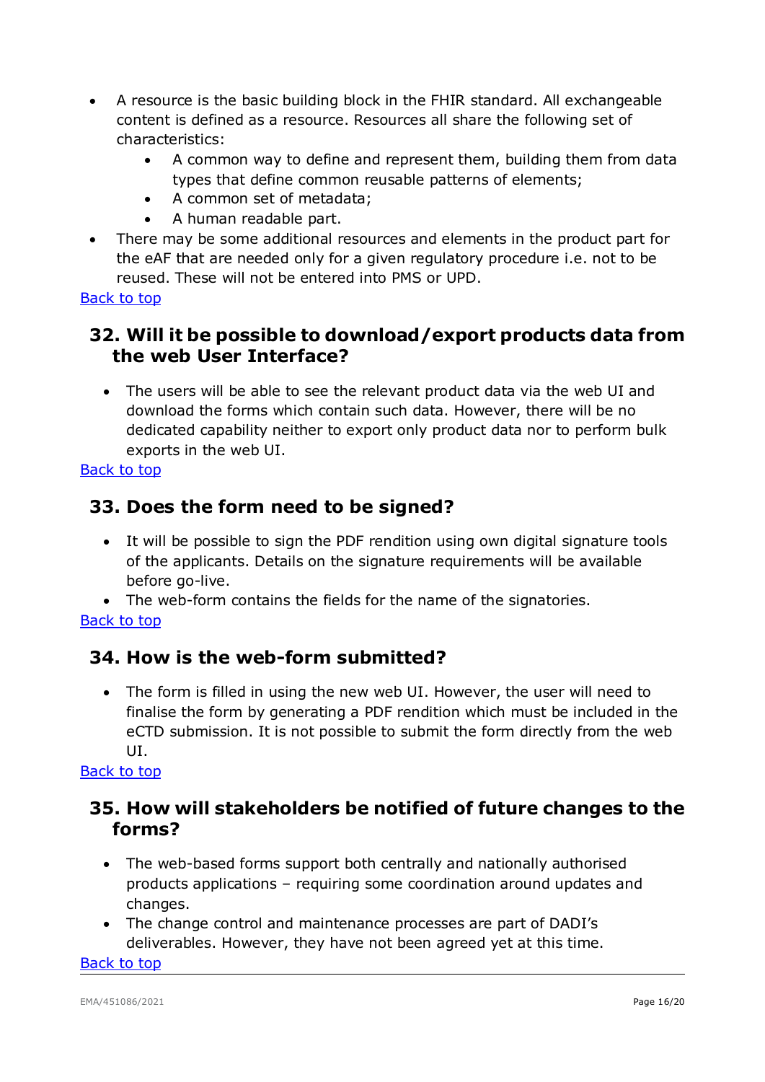- A resource is the basic building block in the FHIR standard. All exchangeable content is defined as a resource. Resources all share the following set of characteristics:
	- A common way to define and represent them, building them from data types that define common reusable patterns of elements;
	- A common set of metadata;
	- A human readable part.
- There may be some additional resources and elements in the product part for the eAF that are needed only for a given regulatory procedure i.e. not to be reused. These will not be entered into PMS or UPD.

# <span id="page-15-0"></span>**32. Will it be possible to download/export products data from the web User Interface?**

• The users will be able to see the relevant product data via the web UI and download the forms which contain such data. However, there will be no dedicated capability neither to export only product data nor to perform bulk exports in the web UI.

#### [Back to top](#page-0-0)

# <span id="page-15-1"></span>**33. Does the form need to be signed?**

• It will be possible to sign the PDF rendition using own digital signature tools of the applicants. Details on the signature requirements will be available before go-live.

• The web-form contains the fields for the name of the signatories. [Back to top](#page-0-0)

# <span id="page-15-2"></span>**34. How is the web-form submitted?**

• The form is filled in using the new web UI. However, the user will need to finalise the form by generating a PDF rendition which must be included in the eCTD submission. It is not possible to submit the form directly from the web UI.

#### [Back to top](#page-0-0)

# <span id="page-15-3"></span>**35. How will stakeholders be notified of future changes to the forms?**

- The web-based forms support both centrally and nationally authorised products applications – requiring some coordination around updates and changes.
- The change control and maintenance processes are part of DADI's deliverables. However, they have not been agreed yet at this time.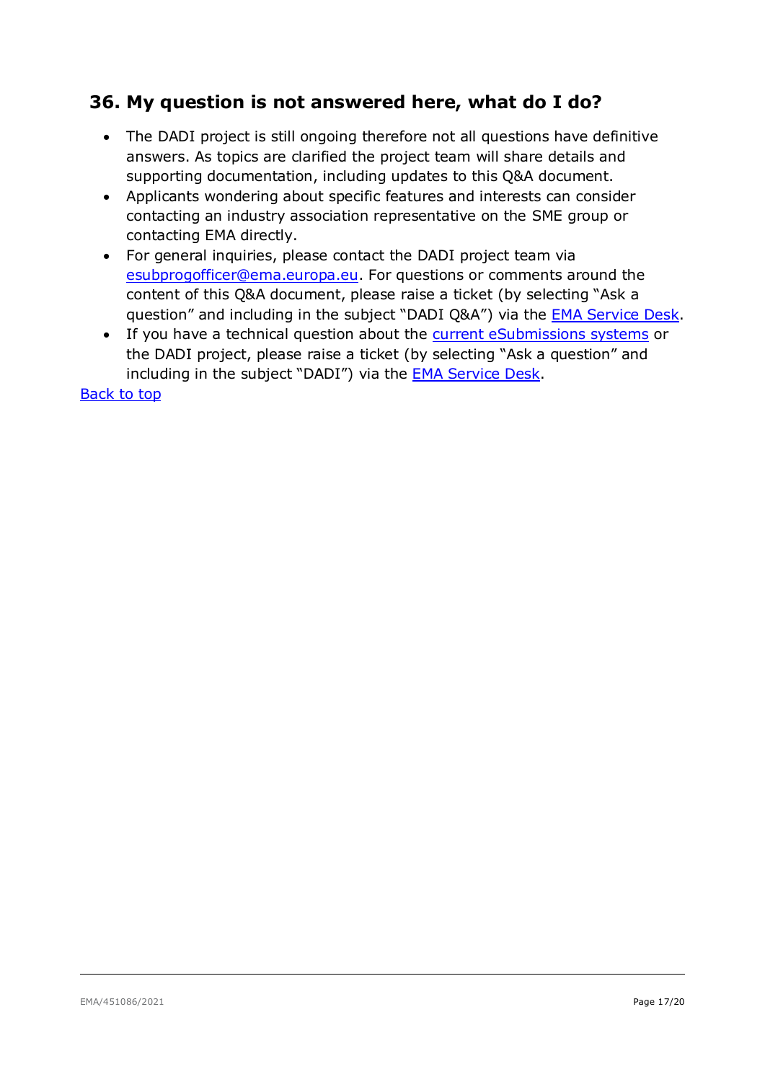# <span id="page-16-0"></span>**36. My question is not answered here, what do I do?**

- The DADI project is still ongoing therefore not all questions have definitive answers. As topics are clarified the project team will share details and supporting documentation, including updates to this Q&A document.
- Applicants wondering about specific features and interests can consider contacting an industry association representative on the SME group or contacting EMA directly.
- For general inquiries, please contact the DADI project team via [esubprogofficer@ema.europa.e](mailto:esubprogofficer@ema.europa.eu)u. For questions or comments around the content of this Q&A document, please raise a ticket (by selecting "Ask a question" and including in the subject "DADI Q&A") via the [EMA Service Desk.](https://servicedesk.ema.europa.eu/)
- If you have a technical question about the [current eSubmissions systems](http://esubmission.ema.europa.eu/index.htm) or the DADI project, please raise a ticket (by selecting "Ask a question" and including in the subject "DADI") via the [EMA Service Desk.](https://servicedesk.ema.europa.eu/)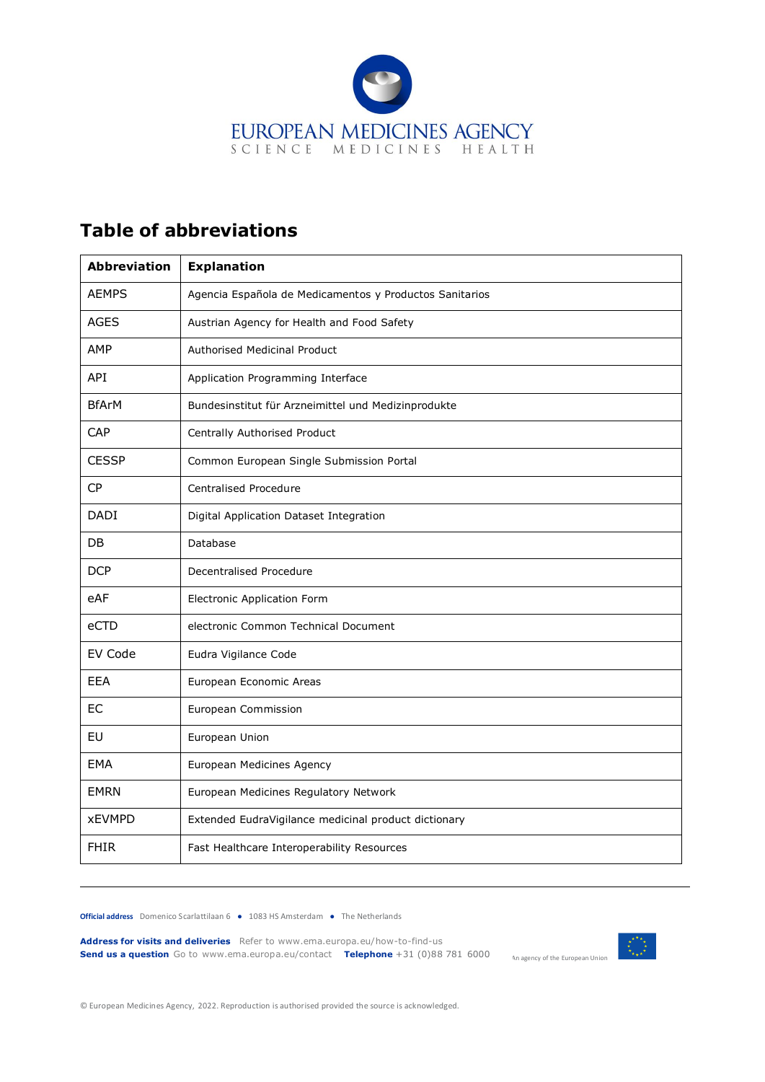

### <span id="page-17-0"></span>**Table of abbreviations**

| <b>Abbreviation</b> | <b>Explanation</b>                                      |
|---------------------|---------------------------------------------------------|
| <b>AEMPS</b>        | Agencia Española de Medicamentos y Productos Sanitarios |
| <b>AGES</b>         | Austrian Agency for Health and Food Safety              |
| AMP                 | <b>Authorised Medicinal Product</b>                     |
| API                 | Application Programming Interface                       |
| <b>BfArM</b>        | Bundesinstitut für Arzneimittel und Medizinprodukte     |
| CAP                 | Centrally Authorised Product                            |
| <b>CESSP</b>        | Common European Single Submission Portal                |
| CP                  | <b>Centralised Procedure</b>                            |
| <b>DADI</b>         | Digital Application Dataset Integration                 |
| DB.                 | Database                                                |
| <b>DCP</b>          | Decentralised Procedure                                 |
| eAF                 | <b>Electronic Application Form</b>                      |
| eCTD                | electronic Common Technical Document                    |
| EV Code             | Eudra Vigilance Code                                    |
| EEA                 | European Economic Areas                                 |
| EC                  | European Commission                                     |
| EU                  | European Union                                          |
| EMA                 | European Medicines Agency                               |
| <b>EMRN</b>         | European Medicines Regulatory Network                   |
| <b>xEVMPD</b>       | Extended EudraVigilance medicinal product dictionary    |
| <b>FHIR</b>         | Fast Healthcare Interoperability Resources              |

**Official address** Domenico Scarlattilaan 6 **●** 1083 HS Amsterdam **●** The Netherlands

**Address for visits and deliveries** Refer to www.ema.europa.eu/how-to-find-us **Send us a question** Go to www.ema.europa.eu/contact **Telephone** +31 (0)88 781 6000



An agency of the European Union

© European Medicines Agency, 2022. Reproduction is authorised provided the source is acknowledged.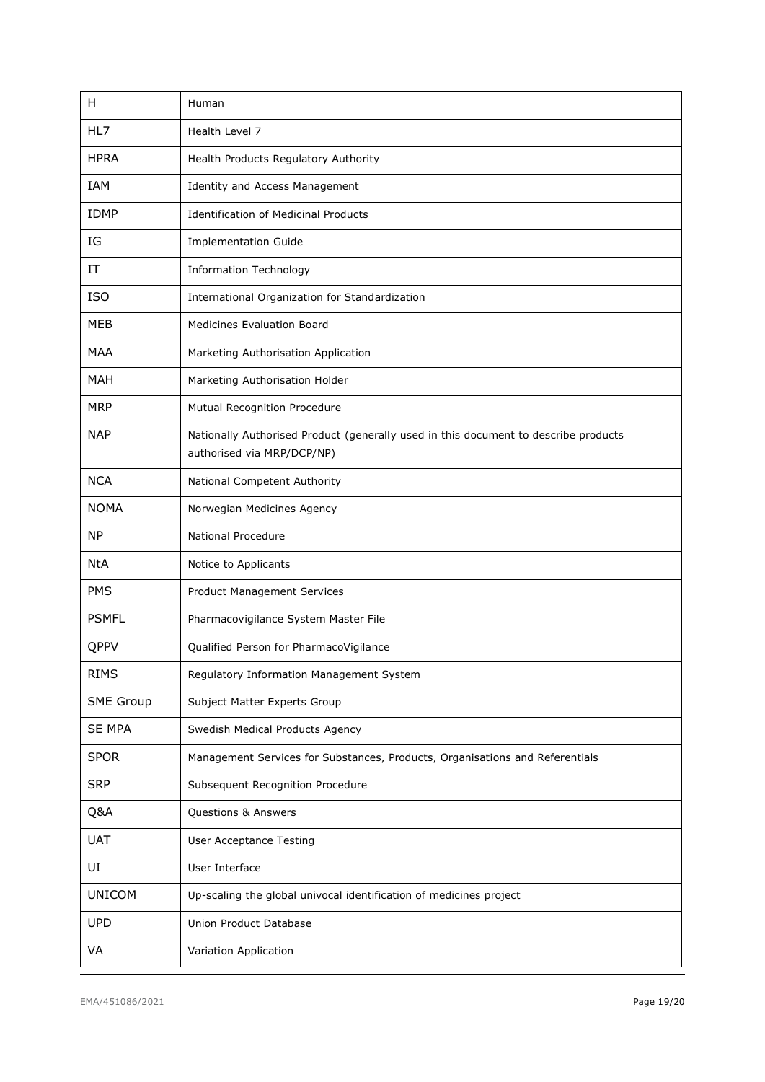| H                | Human                                                                                                             |
|------------------|-------------------------------------------------------------------------------------------------------------------|
| HL7              | Health Level 7                                                                                                    |
| <b>HPRA</b>      | Health Products Regulatory Authority                                                                              |
| IAM              | Identity and Access Management                                                                                    |
| <b>IDMP</b>      | <b>Identification of Medicinal Products</b>                                                                       |
| IG               | <b>Implementation Guide</b>                                                                                       |
| IT               | <b>Information Technology</b>                                                                                     |
| <b>ISO</b>       | International Organization for Standardization                                                                    |
| MEB              | <b>Medicines Evaluation Board</b>                                                                                 |
| <b>MAA</b>       | Marketing Authorisation Application                                                                               |
| <b>MAH</b>       | Marketing Authorisation Holder                                                                                    |
| <b>MRP</b>       | Mutual Recognition Procedure                                                                                      |
| <b>NAP</b>       | Nationally Authorised Product (generally used in this document to describe products<br>authorised via MRP/DCP/NP) |
| <b>NCA</b>       | National Competent Authority                                                                                      |
| <b>NOMA</b>      | Norwegian Medicines Agency                                                                                        |
| <b>NP</b>        | National Procedure                                                                                                |
| <b>NtA</b>       | Notice to Applicants                                                                                              |
| <b>PMS</b>       | Product Management Services                                                                                       |
| <b>PSMFL</b>     | Pharmacovigilance System Master File                                                                              |
| QPPV             | Qualified Person for PharmacoVigilance                                                                            |
| <b>RIMS</b>      | Regulatory Information Management System                                                                          |
| <b>SME Group</b> | Subject Matter Experts Group                                                                                      |
| <b>SE MPA</b>    | Swedish Medical Products Agency                                                                                   |
| <b>SPOR</b>      | Management Services for Substances, Products, Organisations and Referentials                                      |
| <b>SRP</b>       | Subsequent Recognition Procedure                                                                                  |
| Q&A              | Questions & Answers                                                                                               |
| <b>UAT</b>       | <b>User Acceptance Testing</b>                                                                                    |
| UI               | User Interface                                                                                                    |
| <b>UNICOM</b>    | Up-scaling the global univocal identification of medicines project                                                |
| <b>UPD</b>       | Union Product Database                                                                                            |
| VA               | Variation Application                                                                                             |